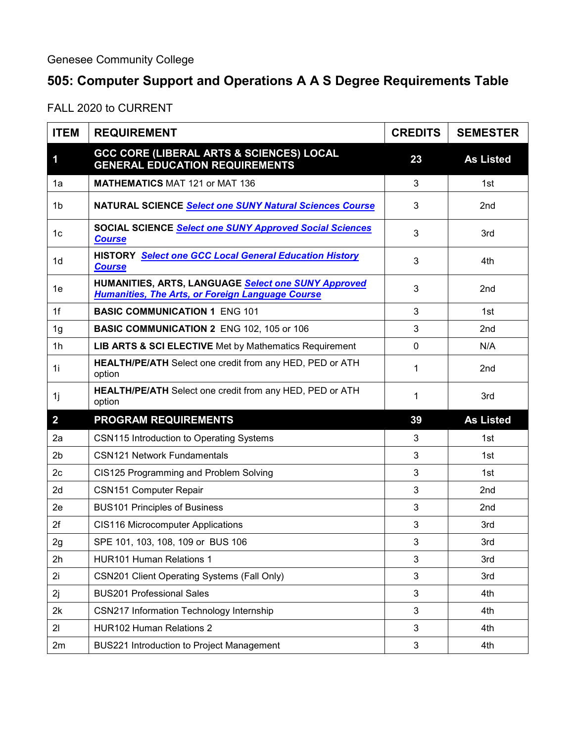## **505: Computer Support and Operations A A S Degree Requirements Table**

FALL 2020 to CURRENT

| <b>ITEM</b>    | <b>REQUIREMENT</b>                                                                                             | <b>CREDITS</b> | <b>SEMESTER</b>  |
|----------------|----------------------------------------------------------------------------------------------------------------|----------------|------------------|
| 1              | <b>GCC CORE (LIBERAL ARTS &amp; SCIENCES) LOCAL</b><br><b>GENERAL EDUCATION REQUIREMENTS</b>                   | 23             | <b>As Listed</b> |
| 1a             | <b>MATHEMATICS MAT 121 or MAT 136</b>                                                                          | 3              | 1st              |
| 1b             | NATURAL SCIENCE Select one SUNY Natural Sciences Course                                                        | 3              | 2 <sub>nd</sub>  |
| 1 <sub>c</sub> | <b>SOCIAL SCIENCE Select one SUNY Approved Social Sciences</b><br><b>Course</b>                                | 3              | 3rd              |
| 1d             | <b>HISTORY</b> Select one GCC Local General Education History<br><b>Course</b>                                 | 3              | 4th              |
| 1e             | HUMANITIES, ARTS, LANGUAGE Select one SUNY Approved<br><b>Humanities, The Arts, or Foreign Language Course</b> | 3              | 2nd              |
| 1f             | <b>BASIC COMMUNICATION 1 ENG 101</b>                                                                           | 3              | 1st              |
| 1 <sub>g</sub> | <b>BASIC COMMUNICATION 2 ENG 102, 105 or 106</b>                                                               | 3              | 2 <sub>nd</sub>  |
| 1 <sub>h</sub> | LIB ARTS & SCI ELECTIVE Met by Mathematics Requirement                                                         | 0              | N/A              |
| 1i             | HEALTH/PE/ATH Select one credit from any HED, PED or ATH<br>option                                             | 1              | 2 <sub>nd</sub>  |
| 1j             | <b>HEALTH/PE/ATH</b> Select one credit from any HED, PED or ATH<br>option                                      | 1              | 3rd              |
| $\overline{2}$ | <b>PROGRAM REQUIREMENTS</b>                                                                                    | 39             | <b>As Listed</b> |
| 2a             | CSN115 Introduction to Operating Systems                                                                       | 3              | 1st              |
| 2 <sub>b</sub> | <b>CSN121 Network Fundamentals</b>                                                                             | 3              | 1st              |
| 2c             | CIS125 Programming and Problem Solving                                                                         | 3              | 1st              |
| 2d             | <b>CSN151 Computer Repair</b>                                                                                  | 3              | 2nd              |
| 2e             | <b>BUS101 Principles of Business</b>                                                                           | 3              | 2 <sub>nd</sub>  |
| 2f             | CIS116 Microcomputer Applications                                                                              | 3              | 3rd              |
| 2g             | SPE 101, 103, 108, 109 or BUS 106                                                                              | 3              | 3rd              |
| 2h             | <b>HUR101 Human Relations 1</b>                                                                                | 3              | 3rd              |
| 2i             | <b>CSN201 Client Operating Systems (Fall Only)</b>                                                             | 3              | 3rd              |
| 2j             | <b>BUS201 Professional Sales</b>                                                                               | 3              | 4th              |
| 2k             | CSN217 Information Technology Internship                                                                       | 3              | 4th              |
| 21             | <b>HUR102 Human Relations 2</b>                                                                                | 3              | 4th              |
| 2m             | BUS221 Introduction to Project Management                                                                      | 3              | 4th              |